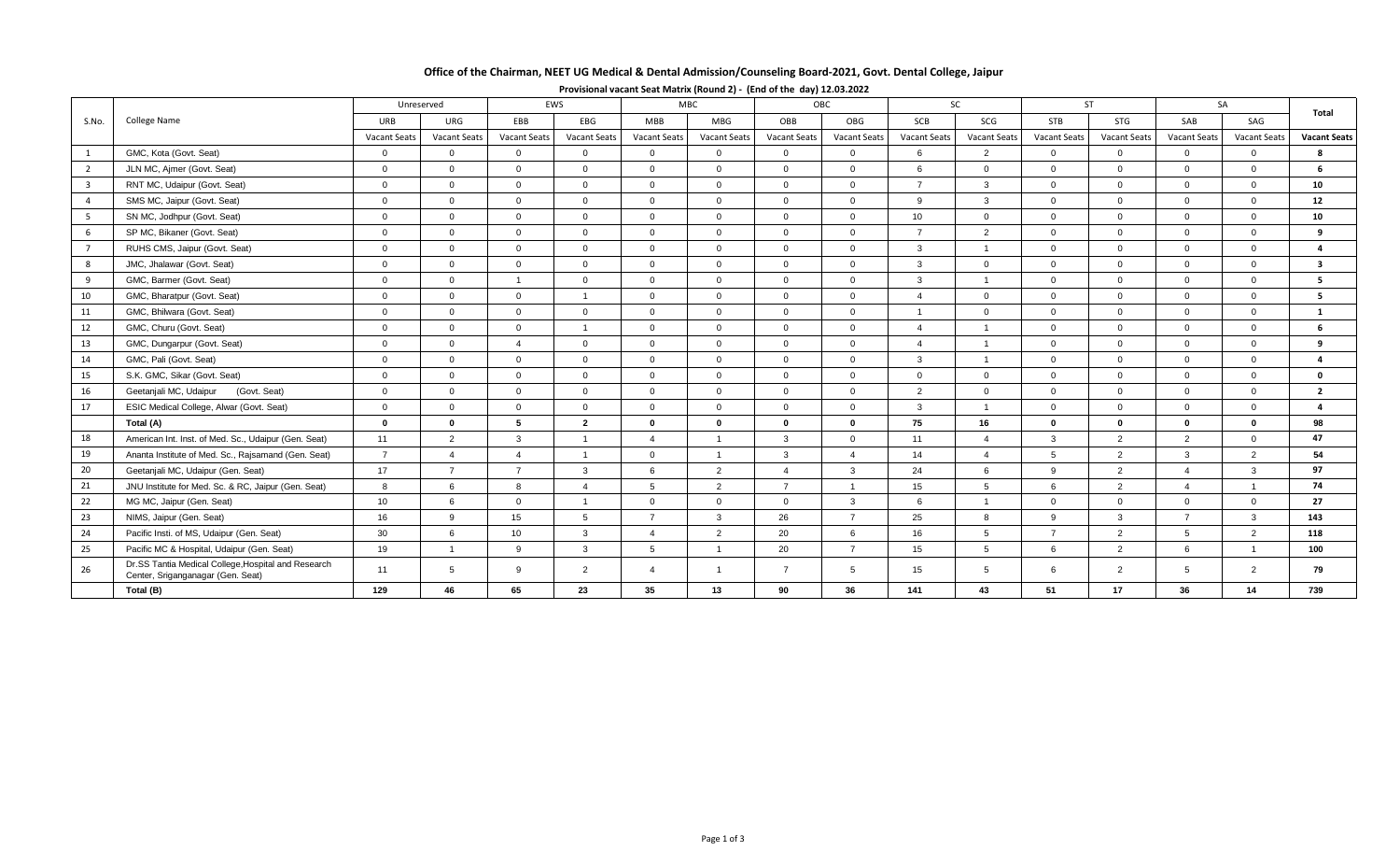# **Office of the Chairman, NEET UG Medical & Dental Admission/Counseling Board-2021, Govt. Dental College, Jaipur**

|                         | College Name                                                                             | Unreserved          |                     | EWS                 |                     | MBC.                    |                     | OBC                 |                     | <b>SC</b>      |                     | <b>ST</b>      |                | SA                  |                |                         |
|-------------------------|------------------------------------------------------------------------------------------|---------------------|---------------------|---------------------|---------------------|-------------------------|---------------------|---------------------|---------------------|----------------|---------------------|----------------|----------------|---------------------|----------------|-------------------------|
| S.No.                   |                                                                                          | URB                 | URG                 | EBB                 | EBG                 | <b>MBB</b>              | <b>MBG</b>          | OBB                 | OBG                 | SCB            | SCG                 | <b>STB</b>     | STG            | SAB                 | SAG            | Total                   |
|                         |                                                                                          | <b>Vacant Seats</b> | <b>Vacant Seats</b> | <b>Vacant Seats</b> | <b>Vacant Seats</b> | Vacant Seats            | <b>Vacant Seats</b> | <b>Vacant Seats</b> | <b>Vacant Seats</b> | Vacant Seats   | <b>Vacant Seats</b> | Vacant Seats   | Vacant Seats   | <b>Vacant Seats</b> | Vacant Seats   | <b>Vacant Seats</b>     |
| $\overline{1}$          | GMC, Kota (Govt. Seat)                                                                   | $\mathbf 0$         | $\mathbf 0$         | $\Omega$            | $\overline{0}$      | $\mathbf{0}$            | $\overline{0}$      | $\mathbf{0}$        | $\mathbf{0}$        | 6              | 2                   | $\overline{0}$ | $\overline{0}$ | $\mathbf{0}$        | $\Omega$       | я                       |
| $\overline{2}$          | JLN MC, Ajmer (Govt. Seat)                                                               | $\Omega$            | $\Omega$            | $\Omega$            | $\Omega$            | $\Omega$                | $\Omega$            | $\Omega$            | $\Omega$            | 6              | $\Omega$            | $\Omega$       | $\Omega$       | $\Omega$            | $\Omega$       | 6                       |
| $\overline{\mathbf{3}}$ | RNT MC, Udaipur (Govt. Seat)                                                             | $\overline{0}$      | $\overline{0}$      | $\Omega$            | $\overline{0}$      | $\overline{0}$          | $\Omega$            | $\Omega$            | $\Omega$            | $\overline{7}$ | $\mathbf{3}$        | $\overline{0}$ | $\Omega$       | $\Omega$            | $\Omega$       | 10                      |
| $\overline{4}$          | SMS MC, Jaipur (Govt. Seat)                                                              | $\overline{0}$      | $\overline{0}$      | $\overline{0}$      | $\mathbf{0}$        | $\overline{0}$          | $\overline{0}$      | $\Omega$            | $\mathbf{0}$        | 9              | $\mathbf{3}$        | $\overline{0}$ | $\overline{0}$ | $\mathbf{0}$        | $\Omega$       | 12                      |
| 5                       | SN MC, Jodhpur (Govt. Seat)                                                              | $\overline{0}$      | $\overline{0}$      | $\Omega$            | $\Omega$            | $\overline{0}$          | $\Omega$            | $\Omega$            | $\Omega$            | 10             | $\Omega$            | $\overline{0}$ | $\Omega$       | $\Omega$            | $\Omega$       | 10                      |
| 6                       | SP MC, Bikaner (Govt. Seat)                                                              | $\overline{0}$      | $\overline{0}$      | $\Omega$            | $\Omega$            | $\Omega$                | $\Omega$            | $\Omega$            | $\Omega$            | $\overline{7}$ | 2                   | $\overline{0}$ | $\Omega$       | $\overline{0}$      | $\Omega$       | 9                       |
| $\overline{7}$          | RUHS CMS, Jaipur (Govt. Seat)                                                            | $\overline{0}$      | $\Omega$            | $\Omega$            | $\Omega$            | $\Omega$                | $\Omega$            | $\Omega$            | $\Omega$            | $\mathbf{3}$   | $\overline{1}$      | $\Omega$       | $\Omega$       | $\Omega$            | $\Omega$       | $\overline{a}$          |
| 8                       | JMC, Jhalawar (Govt. Seat)                                                               | $\mathbf{0}$        | $\overline{0}$      | $\Omega$            | $\Omega$            | $\overline{0}$          | $\Omega$            | $\Omega$            | $\Omega$            | $\mathbf{3}$   | $\overline{0}$      | $\overline{0}$ | $\Omega$       | $\overline{0}$      | $\Omega$       | $\overline{\mathbf{3}}$ |
| 9                       | GMC, Barmer (Govt. Seat)                                                                 | $\overline{0}$      | $\overline{0}$      | $\overline{1}$      | $\mathbf{0}$        | $\overline{0}$          | $\Omega$            | $\Omega$            | $\Omega$            | $\mathbf{3}$   | $\overline{1}$      | $\overline{0}$ | $\overline{0}$ | $\Omega$            | $\Omega$       | 5                       |
| 10                      | GMC, Bharatpur (Govt. Seat)                                                              | $\overline{0}$      | $\overline{0}$      | $\Omega$            |                     | $\Omega$                | $\Omega$            | $\Omega$            | $\Omega$            | $\Delta$       | $\Omega$            | $\Omega$       | $\Omega$       | $\Omega$            | $\cap$         | 5                       |
| 11                      | GMC, Bhilwara (Govt. Seat)                                                               | $\overline{0}$      | $\overline{0}$      | $\Omega$            | $\overline{0}$      | $\overline{0}$          | $\overline{0}$      | $\Omega$            | $\mathbf{0}$        |                | $\mathbf 0$         | $\overline{0}$ | $\overline{0}$ | $\overline{0}$      | $\Omega$       | $\mathbf{1}$            |
| 12                      | GMC. Churu (Govt. Seat)                                                                  | $\overline{0}$      | $\overline{0}$      | $\Omega$            |                     | $\Omega$                | $\Omega$            | $\Omega$            | $\Omega$            |                | $\overline{1}$      | $\overline{0}$ | $\Omega$       | $\Omega$            | $\Omega$       |                         |
| 13                      | GMC, Dungarpur (Govt. Seat)                                                              | $\overline{0}$      | $\overline{0}$      | $\overline{4}$      | $\Omega$            | $\Omega$                | $\Omega$            | $\Omega$            | $\Omega$            | $\overline{4}$ | $\overline{1}$      | $\overline{0}$ | $\Omega$       | $\Omega$            | $\Omega$       | 9                       |
| 14                      | GMC, Pali (Govt. Seat)                                                                   | $\overline{0}$      | $\overline{0}$      | $\mathbf{0}$        | $\overline{0}$      | $\overline{0}$          | $\overline{0}$      | $\Omega$            | $\mathbf{0}$        | $\mathbf{3}$   | $\overline{1}$      | $\overline{0}$ | $\overline{0}$ | $\overline{0}$      | $\Omega$       | $\overline{\mathbf{a}}$ |
| 15                      | S.K. GMC, Sikar (Govt. Seat)                                                             | $\overline{0}$      | $\overline{0}$      | $\Omega$            | $\Omega$            | $\Omega$                | $\Omega$            | $\Omega$            | $\Omega$            | $\overline{0}$ | $\Omega$            | $\Omega$       | $\Omega$       | $\overline{0}$      | $\Omega$       | $\mathbf{0}$            |
| 16                      | Geetanjali MC, Udaipur<br>(Govt. Seat)                                                   | $\overline{0}$      | $\overline{0}$      | $\Omega$            | $\Omega$            | $\mathbf{0}$            | $\Omega$            | $\Omega$            | $\mathbf{0}$        | 2              | $\overline{0}$      | $\overline{0}$ | $\Omega$       | $\mathbf{0}$        | $\Omega$       | $\overline{2}$          |
| 17                      | ESIC Medical College, Alwar (Govt. Seat)                                                 | $\overline{0}$      | $\Omega$            | $\Omega$            | $\Omega$            | $\Omega$                | $\Omega$            | $\Omega$            | $\Omega$            | $\mathbf{3}$   | $\overline{1}$      | $\Omega$       | $\Omega$       | $\Omega$            | $\Omega$       | $\mathbf{a}$            |
|                         | Total (A)                                                                                | $\mathbf{0}$        | $\mathbf 0$         | 5                   | $\overline{2}$      | $\mathbf{0}$            | $\mathbf{0}$        | $\Omega$            | $\bf{0}$            | 75             | 16                  | $\mathbf 0$    | $\mathbf{0}$   | $\mathbf 0$         | $\Omega$       | 98                      |
| 18                      | American Int. Inst. of Med. Sc., Udaipur (Gen. Seat)                                     | 11                  | 2                   | 3                   |                     | $\overline{4}$          | $\overline{1}$      | 3                   | $\overline{0}$      | 11             | $\overline{4}$      | $\mathbf{3}$   | 2              | 2                   | $\Omega$       | 47                      |
| 19                      | Ananta Institute of Med. Sc., Rajsamand (Gen. Seat)                                      | $\overline{7}$      | $\overline{4}$      | $\overline{4}$      |                     | $\Omega$                | $\overline{1}$      | 3                   | $\overline{4}$      | 14             | $\overline{4}$      | 5              | 2              | $\mathbf{3}$        | $\overline{2}$ | 54                      |
| 20                      | Geetanjali MC, Udaipur (Gen. Seat)                                                       | 17                  | $\overline{7}$      | $\overline{7}$      | 3                   | 6                       | $\overline{2}$      | $\Delta$            | 3                   | 24             | 6                   | 9              | 2              | $\Delta$            | 3              | 97                      |
| 21                      | JNU Institute for Med. Sc. & RC, Jaipur (Gen. Seat)                                      | 8                   | 6                   | $\mathsf{R}$        |                     | 5                       | $\overline{2}$      | $\overline{7}$      |                     | 15             | 5                   | 6              | 2              | $\Delta$            |                | 74                      |
| 22                      | MG MC, Jaipur (Gen. Seat)                                                                | 10                  | 6                   | $\Omega$            | $\overline{1}$      | $\Omega$                | $\Omega$            | $\Omega$            | 3                   | 6              | $\overline{1}$      | $\overline{0}$ | $\Omega$       | $\overline{0}$      | $\Omega$       | 27                      |
| 23                      | NIMS, Jaipur (Gen. Seat)                                                                 | 16                  | 9                   | 15                  | $5\overline{5}$     | $\overline{7}$          | $\mathbf{3}$        | 26                  | $\overline{7}$      | 25             | 8                   | 9              | $\mathbf{3}$   | $\overline{7}$      | 3              | 143                     |
| 24                      | Pacific Insti. of MS, Udaipur (Gen. Seat)                                                | 30                  | 6                   | 10                  | 3                   | $\overline{4}$          | $\overline{2}$      | 20                  | 6                   | 16             | 5                   | $\overline{7}$ | 2              | $5^{\circ}$         | $\overline{2}$ | 118                     |
| 25                      | Pacific MC & Hospital, Udaipur (Gen. Seat)                                               | 19                  | $\overline{1}$      | 9                   | $\mathbf{3}$        | $5^{\circ}$             | $\overline{ }$      | 20                  | $\overline{7}$      | 15             | 5                   | 6              | 2              | 6                   |                | 100                     |
| 26                      | Dr.SS Tantia Medical College, Hospital and Research<br>Center, Sriganganagar (Gen. Seat) | 11                  | $5\overline{5}$     | 9                   | 2                   | $\overline{\mathbf{4}}$ | $\mathbf{1}$        | $\overline{7}$      | $5^{\circ}$         | 15             | $5\overline{5}$     | 6              | 2              | $5^{\circ}$         | $\overline{2}$ | 79                      |
|                         | Total (B)                                                                                | 129                 | 46                  | 65                  | 23                  | 35                      | 13                  | 90                  | 36                  | 141            | 43                  | 51             | 17             | 36                  | 14             | 739                     |

## **Provisional vacant Seat Matrix (Round 2) - (End of the day) 12.03.2022**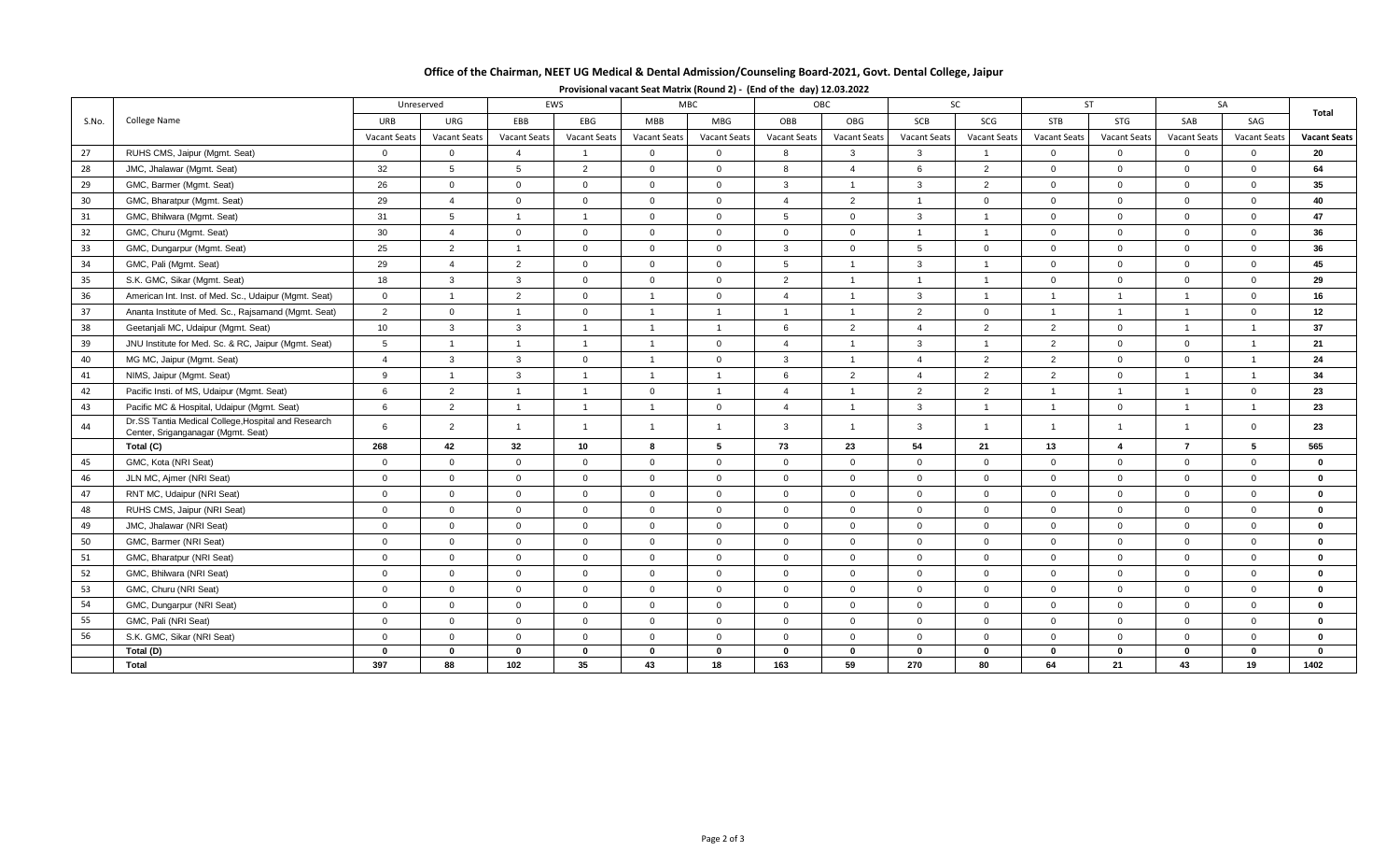# **Office of the Chairman, NEET UG Medical & Dental Admission/Counseling Board-2021, Govt. Dental College, Jaipur**

|       | College Name                                                                              | EWS<br>Unreserved |                     | OBC<br><b>MBC</b>       |                |                |                     | <b>SC</b>      |                | <b>ST</b>      |                     | SA             |                |                     |                |                     |
|-------|-------------------------------------------------------------------------------------------|-------------------|---------------------|-------------------------|----------------|----------------|---------------------|----------------|----------------|----------------|---------------------|----------------|----------------|---------------------|----------------|---------------------|
| S.No. |                                                                                           | URB               | URG                 | EBB                     | EBG            | <b>MBB</b>     | MBG                 | OBB            | OBG            | SCB            | SCG                 | STB            | STG            | SAB                 | SAG            | Total               |
|       |                                                                                           | Vacant Seats      | <b>Vacant Seats</b> | Vacant Seats            | Vacant Seats   | Vacant Seats   | <b>Vacant Seats</b> | Vacant Seats   | Vacant Seats   | Vacant Seats   | <b>Vacant Seats</b> | Vacant Seats   | Vacant Seats   | <b>Vacant Seats</b> | Vacant Seats   | <b>Vacant Seats</b> |
| 27    | RUHS CMS, Jaipur (Mgmt. Seat)                                                             | $\mathbf{0}$      | $\mathbf{0}$        | $\overline{\mathbf{A}}$ |                | $\Omega$       | $\Omega$            | 8              | 3              | $\mathbf{3}$   | $\overline{1}$      | $\overline{0}$ | $\overline{0}$ | $\Omega$            | $\Omega$       | 20                  |
| 28    | JMC, Jhalawar (Mgmt. Seat)                                                                | 32                | $5\overline{5}$     | 5                       | $\overline{2}$ | $\mathbf{0}$   | $\Omega$            | $\mathsf{R}$   | $\overline{4}$ | 6              | $\overline{2}$      | $\overline{0}$ | $\overline{0}$ | $\mathbf{0}$        | $\overline{0}$ | 64                  |
| 29    | GMC, Barmer (Mgmt. Seat)                                                                  | 26                | $\overline{0}$      | $\overline{0}$          | $\Omega$       | $\Omega$       | $\Omega$            | $\mathbf{3}$   | $\overline{1}$ | $\mathbf{3}$   | 2                   | $\Omega$       | $\Omega$       | $\Omega$            | $\Omega$       | 35                  |
| 30    | GMC, Bharatpur (Mgmt. Seat)                                                               | 29                | $\overline{4}$      | $\overline{0}$          | $\mathbf 0$    | $\mathbf{0}$   | $\overline{0}$      | $\overline{4}$ | 2              | $\overline{1}$ | $\overline{0}$      | $\overline{0}$ | $\overline{0}$ | $\overline{0}$      | $\overline{0}$ | 40                  |
| 31    | GMC, Bhilwara (Mgmt. Seat)                                                                | 31                | $5\overline{5}$     | $\overline{1}$          | $\overline{1}$ | $\mathbf{0}$   | $\overline{0}$      | 5              | $\mathbf 0$    | $\mathbf{3}$   | $\overline{1}$      | $\overline{0}$ | $\overline{0}$ | $\mathbf 0$         | $\overline{0}$ | 47                  |
| 32    | GMC, Churu (Mgmt. Seat)                                                                   | 30                | $\overline{4}$      | $\overline{0}$          | $\overline{0}$ | $\overline{0}$ | $\overline{0}$      | $\overline{0}$ | $\mathbf 0$    | $\overline{1}$ | $\overline{1}$      | $\overline{0}$ | $\overline{0}$ | $\overline{0}$      | $\overline{0}$ | 36                  |
| 33    | GMC, Dungarpur (Mgmt. Seat)                                                               | 25                | $\overline{2}$      | $\overline{1}$          | $\overline{0}$ | $\mathbf{0}$   | $\overline{0}$      | $\mathbf{3}$   | $\mathbf{0}$   | 5              | $\overline{0}$      | $\overline{0}$ | $\overline{0}$ | $\overline{0}$      | $\overline{0}$ | 36                  |
| 34    | GMC, Pali (Mgmt. Seat)                                                                    | 29                | $\overline{4}$      | 2                       | $\mathbf 0$    | $\mathbf 0$    | $\overline{0}$      | 5              | $\overline{1}$ | $\mathbf{3}$   | $\overline{1}$      | $\overline{0}$ | $\overline{0}$ | $\Omega$            | $\overline{0}$ | 45                  |
| 35    | S.K. GMC, Sikar (Mgmt. Seat)                                                              | 18                | $\mathbf{3}$        | $\mathbf{3}$            | $\Omega$       | $\Omega$       | $\Omega$            | 2              | $\overline{1}$ | $\overline{1}$ | $\overline{1}$      | $\Omega$       | $\Omega$       | $\Omega$            | $\Omega$       | 29                  |
| 36    | American Int. Inst. of Med. Sc., Udaipur (Mgmt. Seat)                                     | $\mathbf 0$       | $\overline{1}$      | $\overline{2}$          | $\overline{0}$ | $\overline{1}$ | $\overline{0}$      | $\overline{4}$ | $\overline{1}$ | $\mathbf{3}$   | $\overline{1}$      | $\overline{1}$ | $\mathbf{1}$   | $\overline{1}$      | $\overline{0}$ | 16                  |
| 37    | Ananta Institute of Med. Sc., Rajsamand (Mgmt. Seat)                                      | 2                 | $\overline{0}$      | $\overline{1}$          | $\Omega$       | $\overline{1}$ | $\overline{1}$      | -1             | $\overline{1}$ | 2              | $\Omega$            | $\overline{1}$ | $\overline{1}$ | $\overline{1}$      | $\overline{0}$ | 12                  |
| 38    | Geetanjali MC, Udaipur (Mgmt. Seat)                                                       | 10                | $\mathbf{3}$        | $\mathbf{3}$            | $\overline{1}$ | $\overline{1}$ | $\overline{1}$      | 6              | $\overline{2}$ | $\overline{4}$ | 2                   | $\overline{2}$ | $\overline{0}$ | $\overline{1}$      | $\overline{1}$ | 37                  |
| 39    | JNU Institute for Med. Sc. & RC, Jaipur (Mgmt. Seat)                                      | 5                 | $\overline{1}$      | $\overline{1}$          | $\overline{1}$ | $\overline{1}$ | $\overline{0}$      | $\Delta$       | $\overline{1}$ | $\mathbf{3}$   | $\overline{1}$      | 2              | $\overline{0}$ | $\Omega$            | $\overline{1}$ | 21                  |
| 40    | MG MC, Jaipur (Mgmt. Seat)                                                                | $\overline{4}$    | $\mathbf{3}$        | $\mathbf{3}$            | $\overline{0}$ | $\overline{1}$ | $\overline{0}$      | $\mathbf{3}$   | $\overline{1}$ | $\overline{4}$ | 2                   | $\overline{2}$ | $\overline{0}$ | $\Omega$            | $\overline{1}$ | 24                  |
| 41    | NIMS, Jaipur (Mgmt. Seat)                                                                 | 9                 | $\overline{1}$      | $\mathbf{3}$            | $\overline{1}$ | $\overline{1}$ | $\overline{1}$      | 6              | $\overline{2}$ | $\overline{4}$ | 2                   | $\overline{2}$ | $\mathbf 0$    | $\overline{1}$      | $\overline{1}$ | 34                  |
| 42    | Pacific Insti. of MS, Udaipur (Mgmt. Seat)                                                | 6                 | $\overline{2}$      | $\overline{1}$          |                | $\mathbf 0$    | $\overline{1}$      | $\overline{4}$ | $\overline{1}$ | $\overline{2}$ | 2                   | $\overline{1}$ | $\overline{1}$ |                     | $\overline{0}$ | 23                  |
| 43    | Pacific MC & Hospital, Udaipur (Mgmt. Seat)                                               | 6                 | 2                   | $\overline{1}$          | $\overline{1}$ | $\overline{1}$ | $\overline{0}$      | $\overline{4}$ | -1             | $\mathbf{3}$   | $\overline{1}$      | $\overline{1}$ | $\overline{0}$ | $\overline{1}$      | $\overline{1}$ | 23                  |
| 44    | Dr.SS Tantia Medical College, Hospital and Research<br>Center, Sriganganagar (Mgmt. Seat) | 6                 | 2                   | $\overline{1}$          | $\overline{1}$ | $\overline{1}$ | $\overline{1}$      | $\mathbf{3}$   | $\overline{1}$ | $\mathbf{3}$   | $\overline{1}$      | $\overline{1}$ | $\overline{1}$ | $\overline{1}$      | $\overline{0}$ | 23                  |
|       | Total (C)                                                                                 | 268               | 42                  | 32                      | 10             | 8              | 5                   | 73             | 23             | 54             | 21                  | 13             | $\overline{4}$ | $\overline{7}$      | $5^{\circ}$    | 565                 |
| 45    | GMC, Kota (NRI Seat)                                                                      | $\mathbf 0$       | $\overline{0}$      | $\overline{0}$          | $\overline{0}$ | $\mathbf{0}$   | $\overline{0}$      | $\Omega$       | $\mathbf{0}$   | $\overline{0}$ | $\overline{0}$      | $\overline{0}$ | $\overline{0}$ | $\Omega$            | $\Omega$       | $\mathbf 0$         |
| 46    | JLN MC, Ajmer (NRI Seat)                                                                  | $\mathbf 0$       | $\overline{0}$      | $\overline{0}$          | $\overline{0}$ | $\mathbf{0}$   | $\overline{0}$      | $\mathbf{0}$   | $\mathbf{0}$   | $\overline{0}$ | $\overline{0}$      | $\overline{0}$ | $\overline{0}$ | $\mathbf 0$         | $\overline{0}$ | $\mathbf{0}$        |
| 47    | RNT MC, Udaipur (NRI Seat)                                                                | $\mathbf 0$       | $\overline{0}$      | $\overline{0}$          | $\overline{0}$ | $\mathbf{0}$   | $\overline{0}$      | $\Omega$       | $\mathbf{0}$   | $\overline{0}$ | $\overline{0}$      | $\overline{0}$ | $\overline{0}$ | $\overline{0}$      | $\overline{0}$ | $\mathbf 0$         |
| 48    | RUHS CMS, Jaipur (NRI Seat)                                                               | $\mathbf 0$       | $\overline{0}$      | $\overline{0}$          | $\mathbf 0$    | $\mathbf{0}$   | $\overline{0}$      | $\mathbf 0$    | $\mathbf{0}$   | $\overline{0}$ | $\overline{0}$      | $\overline{0}$ | $\overline{0}$ | $\mathbf 0$         | $\overline{0}$ | $\mathbf{0}$        |
| 49    | JMC, Jhalawar (NRI Seat)                                                                  | $\mathbf 0$       | $\overline{0}$      | $\overline{0}$          | $\Omega$       | $\mathbf{0}$   | $\Omega$            | $\mathbf{0}$   | $\mathbf{0}$   | $\overline{0}$ | $\mathbf 0$         | $\overline{0}$ | $\overline{0}$ | $\Omega$            | $\overline{0}$ | $\bf{0}$            |
| 50    | GMC, Barmer (NRI Seat)                                                                    | $\mathbf 0$       | $\overline{0}$      | $\Omega$                | $\Omega$       | $\Omega$       | $\Omega$            | $\Omega$       | $\mathbf{0}$   | $\Omega$       | $\Omega$            | $\overline{0}$ | $\Omega$       | $\Omega$            | $\Omega$       | $\mathbf{0}$        |
| 51    | GMC, Bharatpur (NRI Seat)                                                                 | $\mathbf 0$       | $\overline{0}$      | $\mathbf 0$             | $\overline{0}$ | $\mathbf{0}$   | $\overline{0}$      | $\mathbf{0}$   | $\mathbf{0}$   | $\overline{0}$ | $\overline{0}$      | $\overline{0}$ | $\overline{0}$ | $\overline{0}$      | $\overline{0}$ | $\bf{0}$            |
| 52    | GMC, Bhilwara (NRI Seat)                                                                  | $\mathbf 0$       | $\overline{0}$      | $\overline{0}$          | $\mathbf 0$    | $\mathbf{0}$   | $\overline{0}$      | $\Omega$       | $\Omega$       | $\overline{0}$ | $\Omega$            | $\overline{0}$ | $\overline{0}$ | $\Omega$            | $\Omega$       | $\mathbf{0}$        |
| 53    | GMC, Churu (NRI Seat)                                                                     | $\mathbf 0$       | $\overline{0}$      | $\Omega$                | $\Omega$       | $\mathbf{0}$   | $\Omega$            | $\Omega$       | $\Omega$       | $\overline{0}$ | $\mathbf{0}$        | $\overline{0}$ | $\overline{0}$ | $\Omega$            | $\Omega$       | $\Omega$            |
| 54    | GMC, Dungarpur (NRI Seat)                                                                 | $\mathsf 0$       | $\overline{0}$      | $\overline{0}$          | $\overline{0}$ | $\mathbf{0}$   | $\overline{0}$      | $\mathbf{0}$   | $\mathbf{0}$   | $\mathbf 0$    | $\mathbf 0$         | $\mathbf{0}$   | $\mathbf 0$    | $\mathbf 0$         | $\overline{0}$ | $\mathbf 0$         |
| 55    | GMC, Pali (NRI Seat)                                                                      | $\mathbf 0$       | $\overline{0}$      | $\overline{0}$          | $\overline{0}$ | $\mathbf{0}$   | $\overline{0}$      | $\overline{0}$ | $\mathbf{0}$   | $\overline{0}$ | $\overline{0}$      | $\overline{0}$ | $\overline{0}$ | $\mathbf{0}$        | $\overline{0}$ | $\mathbf 0$         |
| 56    | S.K. GMC, Sikar (NRI Seat)                                                                | $\mathbf 0$       | $\overline{0}$      | $\overline{0}$          | $\overline{0}$ | $\mathbf{0}$   | $\overline{0}$      | $\mathbf{0}$   | $\mathbf{0}$   | $\mathbf 0$    | $\overline{0}$      | $\overline{0}$ | $\mathbf 0$    | $\mathbf 0$         | $\overline{0}$ | $\mathbf 0$         |
|       | Total (D)                                                                                 | $\mathbf 0$       | $\bf{0}$            | $\Omega$                | $\bf{0}$       | $\bf{0}$       | $\Omega$            | $\Omega$       | $\Omega$       | $\mathbf 0$    | $\bf{0}$            | $\mathbf 0$    | $\mathbf{0}$   | $\bf{0}$            | $\Omega$       | $\Omega$            |
|       | Total                                                                                     | 397               | 88                  | 102                     | 35             | 43             | 18                  | 163            | 59             | 270            | 80                  | 64             | 21             | 43                  | 19             | 1402                |

## **Provisional vacant Seat Matrix (Round 2) - (End of the day) 12.03.2022**